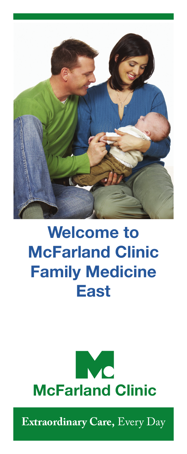

# **Welcome to McFarland Clinic Family Medicine East**



**Extraordinary Care,** Every Day